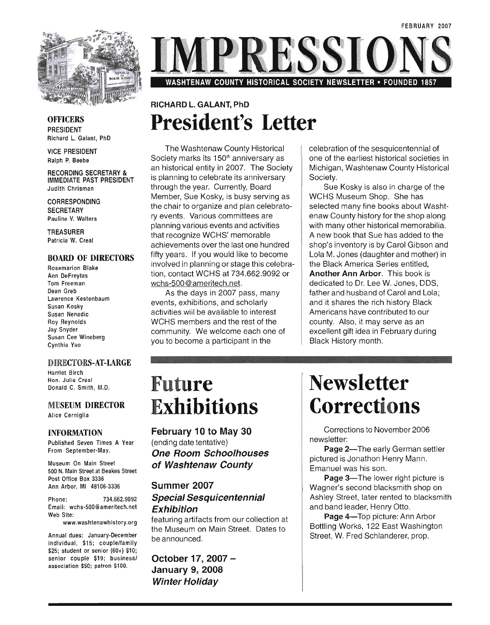

**OFFICERS** PRESIDENT Richard L. Galant, PhD

VICE PRESIDENT Ralph P. Beebe

RECORDING SECRETARY & IMMEDIATE PAST PRESIDENT Judith Chrisman

**CORRESPONDING SECRETARY** Pauline V. Walters

TREASURER Patricia W. Creal

#### BOARD OF DIRECTORS

Rosemarion Blake Ann DeFreytas Tom Freeman Dean Greb Lawrence Kestenbaum Susan Kosky Susan Nenadic Roy Reynolds Jay Snyder Susan Cee Wineberg Cynthia Yao

#### DIRECTORS-AT-LARGE

Harriet Birch Hon. Julie Creal Donald C. Smith, M.D.

### MUSEUM DIRECTOR

Alice Cerniglia

#### INFORMATION

Published Seven Times A Year From September-May.

Museum On Main Street 500 N. Main Street at Beakes Street Post Office Box 3336 Ann Arbor, MI 481 06-3336

Phone: 734.662.9092 Email: wchs-500@ameritech.net Web Site:

www.washtenawhistory.org

Annual dues: January-December individual, \$15; couple/family \$25; student or senior (60+) \$10; senior couple \$19; business/ association \$50; patron \$100.

**MPRESSIC** WASHTENAW COUNTY HISTORICAL SOCIETY NEWSLETTER • FOUNDED

### RICHARD L. GALANT, PhD **President's Letter**

The Washtenaw County Historical Society marks its 150<sup>th</sup> anniversary as an historical entity in 2007. The Society is planning to celebrate its anniversary through the year. Currently, Board Member, Sue Kosky, is busy serving as the chair to organize and plan celebratory events. Various committees are planning various events and activities that recognize WCHS' memorable achievements over the last one hundred fifty years. If you would like to become involved in planning or stage this celebration, contact WCHS at 734.662.9092 or wchs-500@ameritech.net.

As the days in 2007 pass, many events, exhibitions, and scholarly activities will be available to interest WCHS members and the rest of the community. We welcome each one of you to become a participant in the

#### celebration of the sesquicentennial of one of the earliest historical societies in Michigan, Washtenaw County Historical Society.

Sue Kosky is also in charge of the WCHS Museum Shop. She has selected many fine books about Washtenaw County history for the shop along with many other historical memorabilia. A new book that Sue has added to the shop's inventory is by Carol Gibson and Lola M. Jones (daughter and mother) in the Black America Series entitled, Another Ann Arbor. This book is dedicated to Dr. Lee W. Jones, DDS, father and husband of Carol and Lola; and it shares the rich history Black Americans have contributed to our county. Also, it may serve as an excellent gift idea in February during Black History month.

### **Future Exhibitions**

February 10 to May 30 (ending date tentative) One Room Schoolhouses of Washtenaw County

#### Summer 2007 Special Sesquicentennial Exhibition

featuring artifacts from our collection at the Museum on Main Street. Dates to be announced.

October 17, 2007 - January 9, 2008 Winter Holiday

### **Newsletter Corrections**

Corrections to November 2006 newsletter:

Page 2-The early German settler pictured is Jonathon Henry Mann. Emanuel was his son.

Page 3-The lower right picture is Wagner's second blacksmith shop on Ashley Street, later rented to blacksmith and band leader, Henry Otto.

Page 4-Top picture: Ann Arbor Bottling Works, 122 East Washington Street, W. Fred Schlanderer, prop.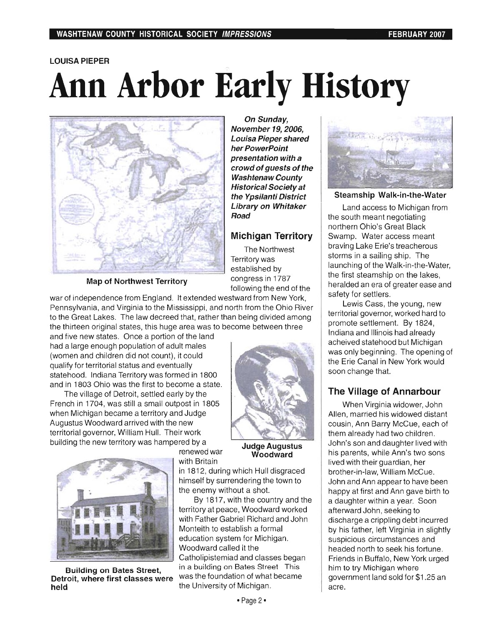## **LOUISA PIEPER Ann Arbor Early History**



**Map of Northwest Territory** 

**On Sunday, November 19, 2006, Louisa Pieper shared her PowerPoint presentation with a crowd of guests of the Washtenaw County Historical Society at the Ypsilanti District Library on Whitaker Road** 

### **Michigan Territory**

The Northwest Territory was established by congress in 1787 following the end of the

war of independence from England. It extended westward from New York, Pennsylvania, and Virginia to the Mississippi, and north from the Ohio River to the Great Lakes. The law decreed that, rather than being divided among the thirteen original states, this huge area was to become between three

and five new states. Once a portion of the land had a large enough population of adult males (women and children did not count), it could qualify for territorial status and eventually statehood. Indiana Territory was formed in 1800 and in 1803 Ohio was the first to become a state.

The village of Detroit, settled early by the French in 1704, was still a small outpost in 1805 when Michigan became a territory and Judge Augustus Woodward arrived with the new territorial governor, William Hull. Their work building the new territory was hampered by a



**held held held held held held held held held held held held held held held held held held held held held held held held held held held held held held held held** 

renewed war with Britain

By 1817, with the country and the territory at peace, Woodward worked with Father Gabriel Richard and John Monteith to establish a formal education system for Michigan. Woodward called it the Catholipistemiad and classes began **Building on Bates Street,** in a building on Bates Street This **Detroit, where first classes were** was the foundation of what became



**Steamship Walk-in-the-Water** 

Land access to Michigan from the south meant negotiating northern Ohio's Great Black Swamp. Water access meant braving Lake Erie's treacherous storms in a sailing ship. The launching of the Walk-in-the-Water, the first steamship on the lakes, heralded an era of greater ease and safety for settlers.

Lewis Cass, the young, new territorial governor, worked hard to promote settlement. By 1824, Indiana and Illinois had already acheived statehood but Michigan was only beginning. The opening of the Erie Canal in New York would soon change that.

### **The Village of Annarbour**

When Virginia widower, John Allen, married his widowed distant cousin, Ann Barry McCue, each of them already had two children. John's son and daughter lived with his parents, while Ann's two sons lived with their guardian, her brother-in-law, William McCue. John and Ann appear to have been happy at first and Ann gave birth to a daughter within a year. Soon afterward John, seeking to discharge a crippling debt incurred by his father, left Virginia in slightly suspicious circumstances and headed north to seek his fortune. Friends in Buffalo, New York urged him to try Michigan where government land sold for \$1.25 an acre.

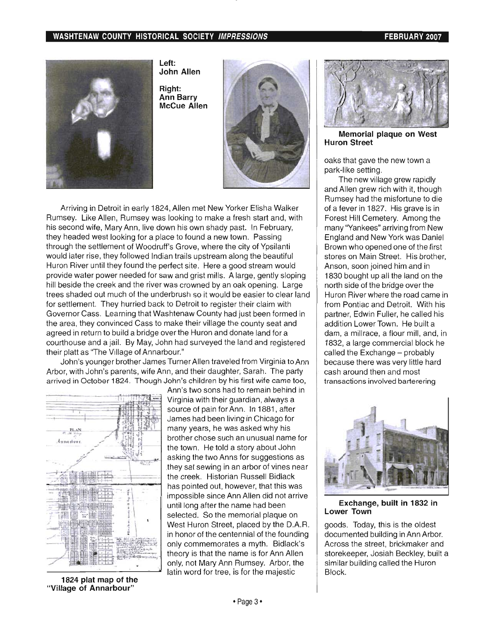#### WASHTENAW COUNTY HISTORICAL SOCIETY IMPRESSIONS FEBRUARY 2007



Left: John Allen

Right: Ann Barry McCue Allen



Arriving in Detroit in early 1824, Allen met New Yorker Elisha Walker Rumsey. Like Allen, Rumsey was looking to make a fresh start and, with his second wife, Mary Ann, live down his own shady past. In February, they headed west looking for a place to found a new town. Passing through the settlement of Woodruff's Grove, where the city of Ypsilanti would later rise, they followed Indian trails upstream along the beautiful Huron River until they found the perfect site. Here a good stream would provide water power needed for saw and grist mills. A large, gently sloping hill beside the creek and the river was crowned by an oak opening. Large trees shaded out much of the underbrush so it would be easier to clear land for settlement. They hurried back to Detroit to register their claim with Governor Cass. Learning that Washtenaw County had just been formed in the area, they convinced Cass to make their village the county seat and agreed in return to build a bridge over the Huron and donate land for a courthouse and a jail. By May, John had surveyed the land and registered their platt as "The Village of Annarbour."

John's younger brother James Turner Allen traveled from Virginia to Ann Arbor, with John's parents, wife Ann, and their daughter, Sarah. The party arrived in October 1824. Though John's children by his first wife came too,



Ann's two sons had to remain behind in Virginia with their guardian, always a source of pain for Ann. In 1881, after James had been living in Chicago for many years, he was asked why his brother chose such an unusual name for the town. He told a story about John asking the two Anns for suggestions as they sat sewing in an arbor of vines near the creek. Historian Russell Bidlack has pointed out, however, that this was impossible since Ann Allen did not arrive until long after the name had been selected. So the memorial plaque on West Huron Street, placed by the D.A.R. in honor of the centennial of the founding only commemorates a myth. Bidlack's theory is that the name is for Ann Allen only, not Mary Ann Rumsey. Arbor, the latin word for tree, is for the majestic



Memorial plaque on West Huron Street

oaks that gave the new town a park-like setting.

The new village grew rapidly and Allen grew rich with it, though Rumsey had the misfortune to die of a fever in 1827. His grave is in Forest Hill Cemetery. Among the many "Yankees" arriving from New England and New York was Daniel Brown who opened one of the first stores on Main Street. His brother, Anson, soon joined him and in 1830 bought up all the land on the north side of the bridge over the Huron River where the road came in from Pontiac and Detroit. With his partner, Edwin Fuller, he called his addition Lower Town. He built a dam, a millrace, a flour mill, and, in 1832, a large commercial block he called the Exchange - probably because there was very little hard cash around then and most transactions involved barterering



#### Exchange, built in 1832 in Lower Town

goods. Today, this is the oldest documented building in Ann Arbor. Across the street, brickmaker and storekeeper, Josiah Beckley, built a similar building called the Huron Block.

1824 plat map of the "Village of Annarbour"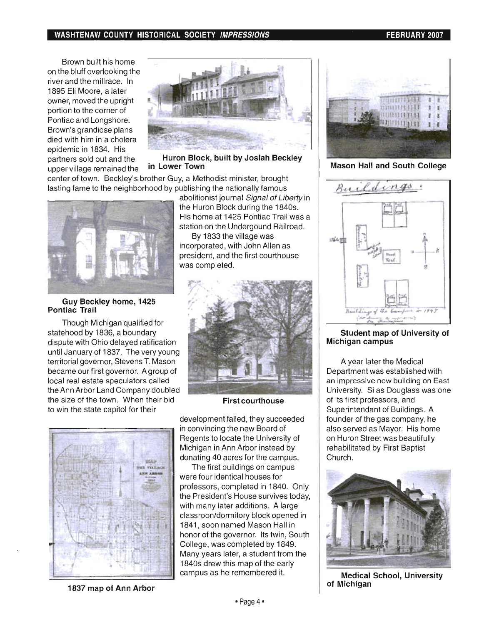#### WASHTENAW COUNTY HISTORICAL SOCIETY IMPRESSIONS FEBRUARY 2007

Brown built his home on the bluff overlooking the river and the millrace. In 1895 Eli Moore, a later owner, moved the upright portion to the corner of Pontiac and Longshore. Brown's grandiose plans died with him in a cholera epidemic in 1834. His upper village remained the **in Lower Town** 



partners sold out and the Huron Block, built by Josiah Beckley

center of town. Beckley's brother Guy, a Methodist minister, brought lasting fame to the neighborhood by publishing the nationally famous



Guy Beckley home, 1425 Pontiac Trail

Though Michigan qualified for statehood by 1836, a boundary dispute with Ohio delayed ratification until January of 1837. The very young territorial governor, Stevens T. Mason became our first governor. A group of local real estate speculators called the Ann Arbor Land Company doubled the size of the town. When their bid First courthouse to win the state capitol for their

**vota's VELLAGE**  abolitionist journal Signal of Liberty in the Huron Block during the 1840s. His home at 1425 Pontiac Trail was a station on the Undergound Railroad.

By 1833 the village was incorporated, with John Allen as president, and the first courthouse was completed.



development failed, they succeeded in convincing the new Board of Regents to locate the University of Michigan in Ann Arbor instead by donating 40 acres for the campus.

The first buildings on campus were four identical houses for professors, completed in 1840. Only the President's House survives today, with many later additions. A large classroon/dormitory block opened in 1841 , soon named Mason Hall in honor of the governor. Its twin, South College, was completed by 1849. Many years later, a student from the 1840s drew this map of the early campus as he remembered it.



Mason Hall and South College



#### Student map of University of Michigan campus

A year later the Medical Department was established with an impressive new building on East University. Silas Douglass was one of its first professors, and Superintendant of Buildings. A founder of the gas company, he also served as Mayor. His home on Huron Street was beautifully rehabilitated by First Baptist Church.



Medical School, University of Michigan

1837 map of Ann Arbor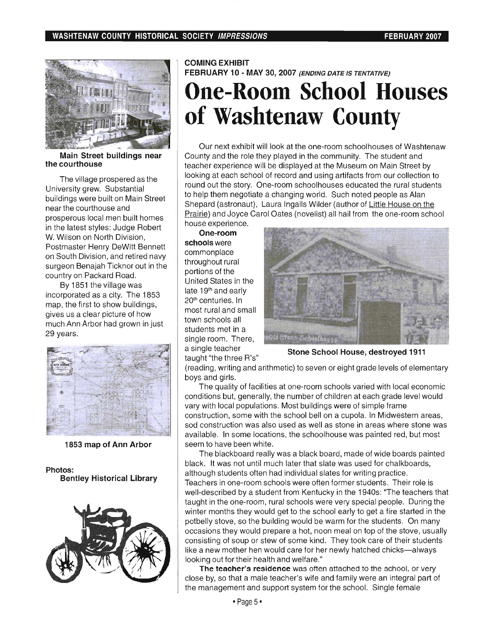

Main Street buildings near the courthouse

The village prospered as the University grew. Substantial buildings were built on Main Street near the courthouse and prosperous local men built homes in the latest styles: Judge Robert W. Wilson on North Division, Postmaster Henry DeWitt Bennett on South Division, and retired navy surgeon Benajah Ticknor out in the country on Packard Road.

By 1851 the village was incorporated as a city. The 1853 map, the first to show buildings, gives us a clear picture of how much Ann Arbor had grown in just 29 years.



1853 map of Ann Arbor

Photos: Bentley Historical Library



COMING EXHIBIT FEBRUARY 10 - MAY 30,2007 (ENDING DATE IS TENTATIVE)

## **One-Room School Houses of Washtenaw County**

Our next exhibit will look at the one-room schoolhouses of Washtenaw County and the role they played in the community. The student and teacher experience will be displayed at the Museum on Main Street by looking at each school of record and using artifacts from our collection to round out the story. One-room schoolhouses educated the rural students to help them negotiate a changing world. Such noted people as Alan Shepard (astronaut), Laura Ingalls Wilder (author of Little House on the Prairie) and Joyce Carol Oates (novelist) all hail from the one-room school house experience.

One-room schools were commonplace throughout rural portions of the United States in the late 19<sup>th</sup> and early 20<sup>th</sup> centuries. In most rural and small town schools all students met in a single room. There, a single teacher taught "the three R's"



Stone School House, destroyed 1911

(reading, writing and arithmetic) to seven or eight grade levels of elementary boys and girls.

The quality of facilities at one-room schools varied with local economic conditions but, generally, the number of children at each grade level would vary with local populations. Most buildings were of simple frame construction, some with the school bell on a cupola. In Midwestern areas, sod construction was also used as well as stone in areas where stone was available. In some locations, the schoolhouse was painted red, but most seem to have been white.

The blackboard really was a black board, made of wide boards painted black. It was not until much later that slate was used for chalkboards, although students often had individual slates for writing practice. Teachers in one-room schools were often former students. Their role is well-described by a student from Kentucky in the 1940s: "The teachers that taught in the one-room, rural schools were very special people. During the winter months they would get to the school early to get a fire started in the potbelly stove, so the building would be warm for the students. On many occasions they would prepare a hot, noon meal on top of the stove, usually consisting of soup or stew of some kind. They took care of their students like a new mother hen would care for her newly hatched chicks-always looking out for their health and welfare."

The teacher's residence was often attached to the school, or very close by, so that a male teacher's wife and family were an integral part of the management and support system for the school. Single female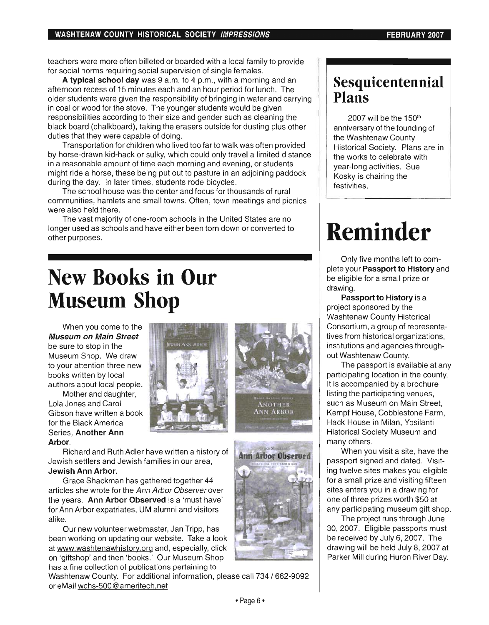#### **WASHTENAW COUNTY HISTORICAL SOCIETY IMPRESSIONS FEBRUARY 2007**

teachers were more often billeted or boarded with a local family to provide for social norms requiring social supervision of single females.

**A typical school day** was 9 a.m. to 4 p.m., with a morning and an afternoon recess of 15 minutes each and an hour period for lunch. The older students were given the responsibility of bringing in water and carrying in coal or wood for the stove. The younger students would be given responsibilities according to their size and gender such as cleaning the black board (chalkboard), taking the erasers outside for dusting plus other duties that they were capable of doing.

Transportation for children who lived too far to walk was often provided by horse-drawn kid-hack or sulky, which could only travel a limited distance in a reasonable amount of time each morning and evening, or students might ride a horse, these being put out to pasture in an adjoining paddock during the day. In later times, students rode bicycles.

The school house was the center and focus for thousands of rural communities, hamlets and small towns. Often, town meetings and picnics were also held there.

The vast majority of one-room schools in the United States are no longer used as schools and have either been torn down or converted to other purposes.

### **New Books in Our Museum Shop**

When you come to the **Museum on Main Street**  be sure to stop in the Museum Shop. We draw to your attention three new books written by local authors about local people.

Mother and daughter, Lola Jones and Carol Gibson have written a book for the Black America Series, **Another Ann Arbor.** 





**Ann Arbor Observed** 

Richard and Ruth Adler have written a history of Jewish settlers and Jewish families in our area, **Jewish Ann Arbor.** 

Grace Shackman has gathered together 44 articles she wrote for the Ann Arbor Observer over the years. **Ann Arbor Observed** is a 'must have' for Ann Arbor expatriates, UM alumni and visitors alike.

Our new volunteer webmaster, Jan Tripp, has been working on updating our website. Take a look at www.washtenawhistory.org and, especially, click on 'giftshop' and then 'books.' Our Museum Shop has a fine collection of publications pertaining to

Washtenaw County. For additional information, please call 734/662-9092 or eMail wchs-500@ameritech.net

### **Sesquicentennial Plans**

2007 will be the 150<sup>th</sup> anniversary of the founding of the Washtenaw County Historical Society. Plans are in the works to celebrate with year-long activities. Sue Kosky is chairing the festivities.

# **Reminder**

Only five months left to complete your **Passport to History** and be eligible for a small prize or drawing.

**Passport to History** is a project sponsored by the Washtenaw County Historical Consortium, a group of representatives from historical organizations, institutions and agencies throughout Washtenaw County.

The passport is available at any participating location in the county. It is accompanied by a brochure listing the participating venues, such as Museum on Main Street, Kempf House, Cobblestone Farm, Hack House in Milan, Ypsilanti Historical Society Museum and many others.

When you visit a site, have the passport signed and dated. Visiting twelve sites makes you eligible for a small prize and visiting fifteen sites enters you in a drawing for one of three prizes worth \$50 at any participating museum gift shop.

The project runs through June 30, 2007. Eligible passports must be received by July 6, 2007. The drawing will be held July 8, 2007 at Parker Mill during Huron River Day.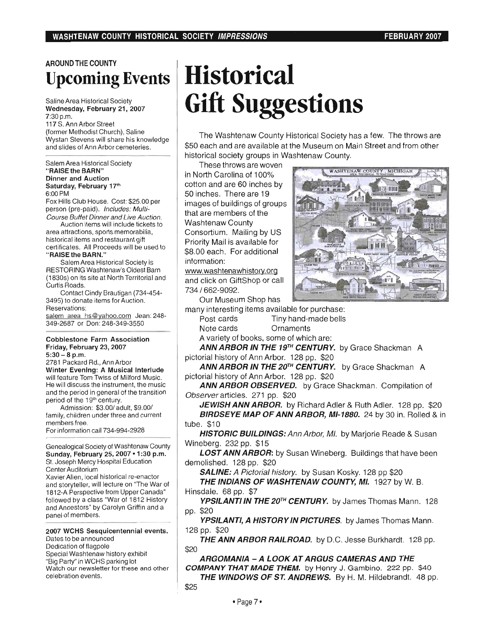### AROUND THE COUNTY **Upcoming Events**

Saline Area Historical Society Wednesday, February 21, 2007 7:30p.m.

117 S. Ann Arbor Street (former Methodist Church), Saline Wystan Stevens will share his knowledge and slides of Ann Arbor cemeteries.

Salem Area Historical Society "RAISE the BARN" Dinner and Auction Saturday, February 17th 6:00 PM

Fox Hills Club House. Cost: \$25.00 per person (pre-paid). Includes: Multi-Course Buffet Dinner and Live Auction.

Auction items will include tickets to area attractions, sports memorabilia, historical items and restaurant gift certificates. All Proceeds will be used to "RAISE the BARN."

Salem Area Historical Society is RESTORING Washtenaw's Oldest Barn (1830s) on its site at North Territorial and Curtis Roads.

Contact Cindy Brautigan (734-454- 3495) to donate items for Auction. Reservations:

salem area hs@yahoo.com Jean: 248-349-2687 or Don: 248-349-3550

#### Cobblestone Farm Association Friday, February 23, 2007  $5:30-8$  p.m.

2781 Packard Rd., Ann Arbor Winter Evening: A Musical Interlude will feature Tom Twiss of Milford Music. He will discuss the instrument, the music and the period in general of the transition period of the 19<sup>th</sup> century.

Admission: \$3.00/ adult, \$9.00/ family, children under three and current members free. For information call 734-994-2928

Genealogical Society of Washtenaw County Sunday, February 25, 2007 . 1:30 p.m. St. Joseph Mercy Hospital Education Center Auditorium

Xavier Allen, local historical re-enactor and storyteller, will lecture on "The War of 1812-A Perspective from Upper Canada" followed by a class "War of 1812 History and Ancestors" by Carolyn Griffin and a panel of members.

2007 WCHS Sesquicentennial events. Dates to be announced

Dedication of flagpole Special Washtenaw history exhibit "Big Party" in WCHS parking lot Watch our newsletter for these and other celebration events.

# **Historical Gift Suggestions**

The Washtenaw County Historical Society has a few. The throws are \$50 each and are available at the Museum on Main Street and from other historical society groups in Washtenaw County.

These throws are woven in North Carolina of 100% cotton and are 60 inches by 50 inches. There are 19 images of buildings of groups that are members of the Washtenaw County Consortium. Mailing by US Priority Mail is available for \$8.00 each. For additional information: www.washtenawhistory.org

and click on GiftShop or call 734/662-9092.

Our Museum Shop has

many interesting items available for purchase: Post cards Tiny hand-made bells Note cards Ornaments

A variety of books, some of which are:

ANN ARBOR IN THE 19<sup>TH</sup> CENTURY. by Grace Shackman A pictorial history of Ann Arbor. 128 pp. \$20

ANN ARBOR IN THE 20<sup>TH</sup> CENTURY. by Grace Shackman A pictorial history of Ann Arbor. 128 pp. \$20

ANN ARBOR OBSERVED. by Grace Shackman. Compilation of Observer articles. 271 pp. \$20

JEWISH ANN ARBOR. by Richard Adler & Ruth Adler. 128 pp. \$20 BIRDSEYE MAP OF ANN ARBOR, MI-1880. 24 by 30 in. Rolled & in tube. \$10

HISTORIC BUILDINGS: Ann Arbor, MI. by Marjorie Reade & Susan Wineberg. 232 pp. \$15

LOST ANN ARBOR: by Susan Wineberg. Buildings that have been demolished. 128 pp. \$20

SALINE: A Pictorial history. by Susan Kosky. 128 pp \$20

THE INDIANS OF WASHTENAW COUNTY, MI. 1927 by W. B. Hinsdale. 68 pp. \$7

YPSILANTI IN THE 20<sup>TH</sup> CENTURY. by James Thomas Mann. 128 pp. \$20

YPSILANTI, A HISTORY IN PICTURES. by James Thomas Mann. 128 pp. \$20

THE ANN ARBOR RAILROAD. by D.C. Jesse Burkhardt. 128 pp. \$20

ARGOMANIA - A LOOK AT ARGUS CAMERAS AND THE COMPANY THAT MADE THEM. by Henry J. Gambino. 222 pp. \$40

THE WINDOWS OF ST. ANDREWS. By H. M. Hildebrandt. 48 pp. \$25